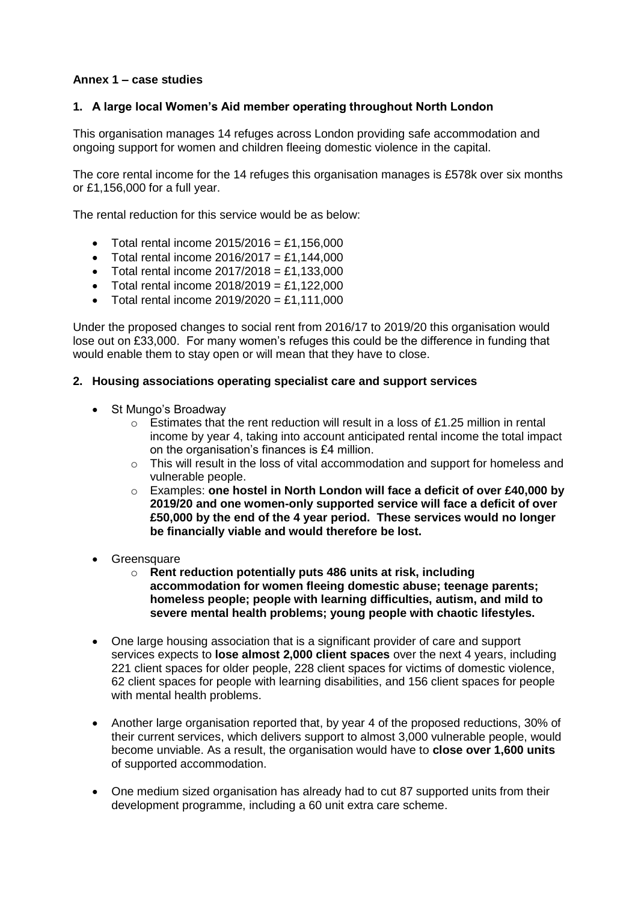## **Annex 1 – case studies**

## **1. A large local Women's Aid member operating throughout North London**

This organisation manages 14 refuges across London providing safe accommodation and ongoing support for women and children fleeing domestic violence in the capital.

The core rental income for the 14 refuges this organisation manages is £578k over six months or £1,156,000 for a full year.

The rental reduction for this service would be as below:

- Total rental income 2015/2016 = £1,156,000
- Total rental income  $2016/2017 = £1,144,000$
- Total rental income  $2017/2018 = £1,133,000$
- $\bullet$  Total rental income 2018/2019 = £1,122,000
- $\bullet$  Total rental income 2019/2020 = £1,111,000

Under the proposed changes to social rent from 2016/17 to 2019/20 this organisation would lose out on £33,000. For many women's refuges this could be the difference in funding that would enable them to stay open or will mean that they have to close.

## **2. Housing associations operating specialist care and support services**

- St Mungo's Broadway
	- $\circ$  Estimates that the rent reduction will result in a loss of £1.25 million in rental income by year 4, taking into account anticipated rental income the total impact on the organisation's finances is £4 million.
	- $\circ$  This will result in the loss of vital accommodation and support for homeless and vulnerable people.
	- o Examples: **one hostel in North London will face a deficit of over £40,000 by 2019/20 and one women-only supported service will face a deficit of over £50,000 by the end of the 4 year period. These services would no longer be financially viable and would therefore be lost.**
- **Greensquare** 
	- o **Rent reduction potentially puts 486 units at risk, including accommodation for women fleeing domestic abuse; teenage parents; homeless people; people with learning difficulties, autism, and mild to severe mental health problems; young people with chaotic lifestyles.**
- One large housing association that is a significant provider of care and support services expects to **lose almost 2,000 client spaces** over the next 4 years, including 221 client spaces for older people, 228 client spaces for victims of domestic violence, 62 client spaces for people with learning disabilities, and 156 client spaces for people with mental health problems.
- Another large organisation reported that, by year 4 of the proposed reductions, 30% of their current services, which delivers support to almost 3,000 vulnerable people, would become unviable. As a result, the organisation would have to **close over 1,600 units** of supported accommodation.
- One medium sized organisation has already had to cut 87 supported units from their development programme, including a 60 unit extra care scheme.